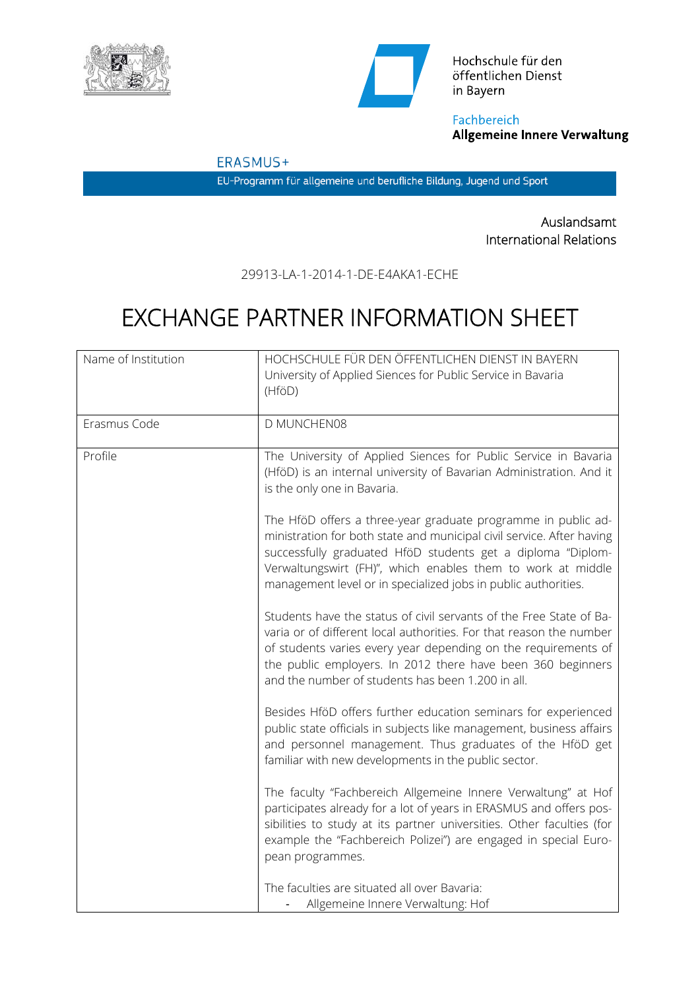



Hochschule für den öffentlichen Dienst in Bayern

Fachbereich **Allgemeine Innere Verwaltung** 

ERASMUS+

EU-Programm für allgemeine und berufliche Bildung, Jugend und Sport

Auslandsamt International Relations

29913-LA-1-2014-1-DE-E4AKA1-ECHE

## EXCHANGE PARTNER INFORMATION SHEET

| Name of Institution | HOCHSCHULE FÜR DEN ÖFFENTLICHEN DIENST IN BAYERN<br>University of Applied Siences for Public Service in Bavaria<br>(HföD)                                                                                                                                                                                                              |
|---------------------|----------------------------------------------------------------------------------------------------------------------------------------------------------------------------------------------------------------------------------------------------------------------------------------------------------------------------------------|
| Erasmus Code        | D MUNCHEN08                                                                                                                                                                                                                                                                                                                            |
| Profile             | The University of Applied Siences for Public Service in Bavaria<br>(HföD) is an internal university of Bavarian Administration. And it<br>is the only one in Bavaria.                                                                                                                                                                  |
|                     | The HföD offers a three-year graduate programme in public ad-<br>ministration for both state and municipal civil service. After having<br>successfully graduated HföD students get a diploma "Diplom-<br>Verwaltungswirt (FH)", which enables them to work at middle<br>management level or in specialized jobs in public authorities. |
|                     | Students have the status of civil servants of the Free State of Ba-<br>varia or of different local authorities. For that reason the number<br>of students varies every year depending on the requirements of<br>the public employers. In 2012 there have been 360 beginners<br>and the number of students has been 1.200 in all.       |
|                     | Besides HföD offers further education seminars for experienced<br>public state officials in subjects like management, business affairs<br>and personnel management. Thus graduates of the HföD get<br>familiar with new developments in the public sector.                                                                             |
|                     | The faculty "Fachbereich Allgemeine Innere Verwaltung" at Hof<br>participates already for a lot of years in ERASMUS and offers pos-<br>sibilities to study at its partner universities. Other faculties (for<br>example the "Fachbereich Polizei") are engaged in special Euro-<br>pean programmes.                                    |
|                     | The faculties are situated all over Bavaria:<br>Allgemeine Innere Verwaltung: Hof                                                                                                                                                                                                                                                      |